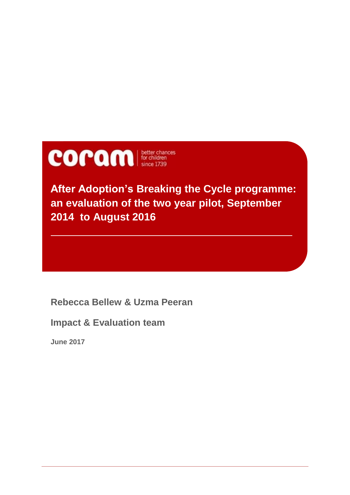

**After Adoption's Breaking the Cycle programme: an evaluation of the two year pilot, September 2014 to August 2016**

**Rebecca Bellew & Uzma Peeran**

**Impact & Evaluation team**

**June 2017**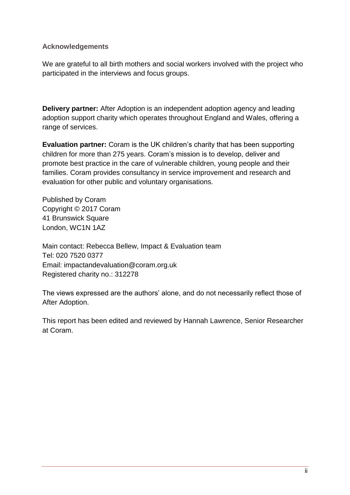#### **Acknowledgements**

We are grateful to all birth mothers and social workers involved with the project who participated in the interviews and focus groups.

**Delivery partner:** After Adoption is an independent adoption agency and leading adoption support charity which operates throughout England and Wales, offering a range of services.

**Evaluation partner:** Coram is the UK children's charity that has been supporting children for more than 275 years. Coram's mission is to develop, deliver and promote best practice in the care of vulnerable children, young people and their families. Coram provides consultancy in service improvement and research and evaluation for other public and voluntary organisations.

Published by Coram Copyright © 2017 Coram 41 Brunswick Square London, WC1N 1AZ

Main contact: Rebecca Bellew, Impact & Evaluation team Tel: 020 7520 0377 Email: impactandevaluation@coram.org.uk Registered charity no.: 312278

The views expressed are the authors' alone, and do not necessarily reflect those of After Adoption.

This report has been edited and reviewed by Hannah Lawrence, Senior Researcher at Coram.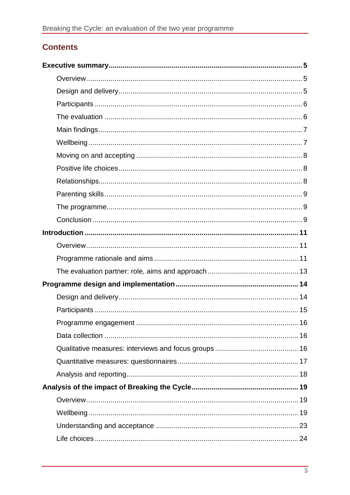# **Contents**

| 16 |  |
|----|--|
|    |  |
|    |  |
|    |  |
|    |  |
|    |  |
|    |  |
|    |  |
|    |  |
|    |  |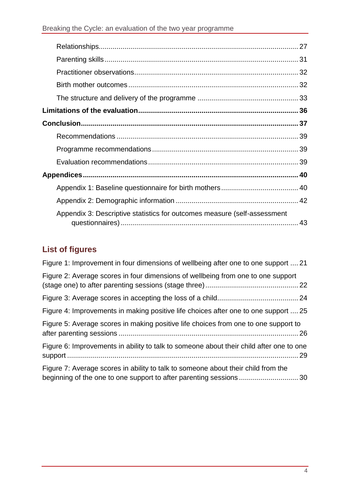| Appendix 3: Descriptive statistics for outcomes measure (self-assessment |  |
|--------------------------------------------------------------------------|--|

# **List of figures**

| Figure 1: Improvement in four dimensions of wellbeing after one to one support  21      |
|-----------------------------------------------------------------------------------------|
| Figure 2: Average scores in four dimensions of wellbeing from one to one support        |
|                                                                                         |
| Figure 4: Improvements in making positive life choices after one to one support  25     |
| Figure 5: Average scores in making positive life choices from one to one support to     |
| Figure 6: Improvements in ability to talk to someone about their child after one to one |
| Figure 7: Average scores in ability to talk to someone about their child from the       |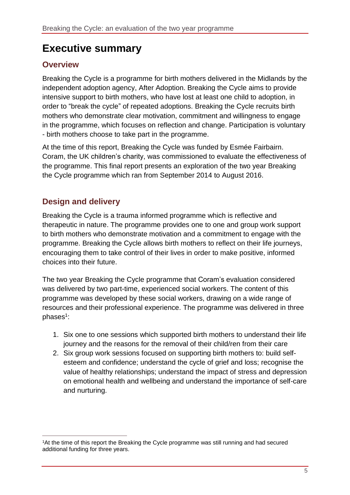# <span id="page-4-0"></span>**Executive summary**

### <span id="page-4-1"></span>**Overview**

Breaking the Cycle is a programme for birth mothers delivered in the Midlands by the independent adoption agency, After Adoption. Breaking the Cycle aims to provide intensive support to birth mothers, who have lost at least one child to adoption, in order to "break the cycle" of repeated adoptions. Breaking the Cycle recruits birth mothers who demonstrate clear motivation, commitment and willingness to engage in the programme, which focuses on reflection and change. Participation is voluntary - birth mothers choose to take part in the programme.

At the time of this report, Breaking the Cycle was funded by Esmée Fairbairn. Coram, the UK children's charity, was commissioned to evaluate the effectiveness of the programme. This final report presents an exploration of the two year Breaking the Cycle programme which ran from September 2014 to August 2016.

## <span id="page-4-2"></span>**Design and delivery**

 $\overline{a}$ 

Breaking the Cycle is a trauma informed programme which is reflective and therapeutic in nature. The programme provides one to one and group work support to birth mothers who demonstrate motivation and a commitment to engage with the programme. Breaking the Cycle allows birth mothers to reflect on their life journeys, encouraging them to take control of their lives in order to make positive, informed choices into their future.

The two year Breaking the Cycle programme that Coram's evaluation considered was delivered by two part-time, experienced social workers. The content of this programme was developed by these social workers, drawing on a wide range of resources and their professional experience. The programme was delivered in three phases<sup>1</sup>:

- 1. Six one to one sessions which supported birth mothers to understand their life journey and the reasons for the removal of their child/ren from their care
- 2. Six group work sessions focused on supporting birth mothers to: build selfesteem and confidence; understand the cycle of grief and loss; recognise the value of healthy relationships; understand the impact of stress and depression on emotional health and wellbeing and understand the importance of self-care and nurturing.

<sup>1</sup>At the time of this report the Breaking the Cycle programme was still running and had secured additional funding for three years.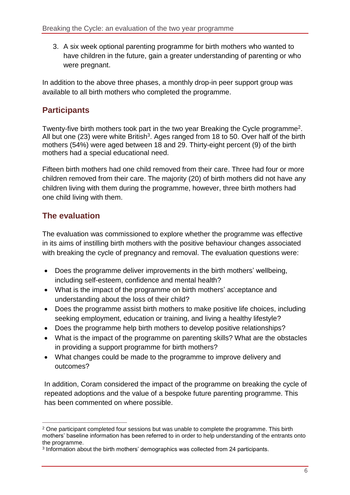3. A six week optional parenting programme for birth mothers who wanted to have children in the future, gain a greater understanding of parenting or who were pregnant.

In addition to the above three phases, a monthly drop-in peer support group was available to all birth mothers who completed the programme.

# <span id="page-5-0"></span>**Participants**

Twenty-five birth mothers took part in the two year Breaking the Cycle programme<sup>2</sup>. All but one (23) were white British<sup>3</sup>. Ages ranged from 18 to 50. Over half of the birth mothers (54%) were aged between 18 and 29. Thirty-eight percent (9) of the birth mothers had a special educational need.

Fifteen birth mothers had one child removed from their care. Three had four or more children removed from their care. The majority (20) of birth mothers did not have any children living with them during the programme, however, three birth mothers had one child living with them.

# <span id="page-5-1"></span>**The evaluation**

The evaluation was commissioned to explore whether the programme was effective in its aims of instilling birth mothers with the positive behaviour changes associated with breaking the cycle of pregnancy and removal. The evaluation questions were:

- Does the programme deliver improvements in the birth mothers' wellbeing, including self-esteem, confidence and mental health?
- What is the impact of the programme on birth mothers' acceptance and understanding about the loss of their child?
- Does the programme assist birth mothers to make positive life choices, including seeking employment, education or training, and living a healthy lifestyle?
- Does the programme help birth mothers to develop positive relationships?
- What is the impact of the programme on parenting skills? What are the obstacles in providing a support programme for birth mothers?
- What changes could be made to the programme to improve delivery and outcomes?

In addition, Coram considered the impact of the programme on breaking the cycle of repeated adoptions and the value of a bespoke future parenting programme. This has been commented on where possible.

 $\overline{a}$ <sup>2</sup> One participant completed four sessions but was unable to complete the programme. This birth mothers' baseline information has been referred to in order to help understanding of the entrants onto the programme.

<sup>3</sup> Information about the birth mothers' demographics was collected from 24 participants.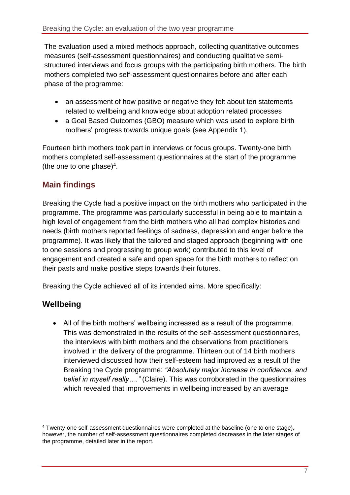The evaluation used a mixed methods approach, collecting quantitative outcomes measures (self-assessment questionnaires) and conducting qualitative semistructured interviews and focus groups with the participating birth mothers. The birth mothers completed two self-assessment questionnaires before and after each phase of the programme:

- an assessment of how positive or negative they felt about ten statements related to wellbeing and knowledge about adoption related processes
- a Goal Based Outcomes (GBO) measure which was used to explore birth mothers' progress towards unique goals (see Appendix 1).

Fourteen birth mothers took part in interviews or focus groups. Twenty-one birth mothers completed self-assessment questionnaires at the start of the programme (the one to one phase) $4$ .

# <span id="page-6-0"></span>**Main findings**

Breaking the Cycle had a positive impact on the birth mothers who participated in the programme. The programme was particularly successful in being able to maintain a high level of engagement from the birth mothers who all had complex histories and needs (birth mothers reported feelings of sadness, depression and anger before the programme). It was likely that the tailored and staged approach (beginning with one to one sessions and progressing to group work) contributed to this level of engagement and created a safe and open space for the birth mothers to reflect on their pasts and make positive steps towards their futures.

Breaking the Cycle achieved all of its intended aims. More specifically:

### <span id="page-6-1"></span>**Wellbeing**

 $\overline{a}$ 

 All of the birth mothers' wellbeing increased as a result of the programme. This was demonstrated in the results of the self-assessment questionnaires, the interviews with birth mothers and the observations from practitioners involved in the delivery of the programme. Thirteen out of 14 birth mothers interviewed discussed how their self-esteem had improved as a result of the Breaking the Cycle programme: *"Absolutely major increase in confidence, and belief in myself really…."* (Claire). This was corroborated in the questionnaires which revealed that improvements in wellbeing increased by an average

<sup>4</sup> Twenty-one self-assessment questionnaires were completed at the baseline (one to one stage), however, the number of self-assessment questionnaires completed decreases in the later stages of the programme, detailed later in the report.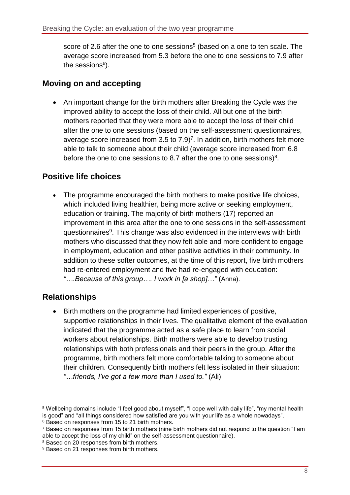score of 2.6 after the one to one sessions<sup>5</sup> (based on a one to ten scale. The average score increased from 5.3 before the one to one sessions to 7.9 after the sessions<sup>6</sup>).

#### <span id="page-7-0"></span>**Moving on and accepting**

 An important change for the birth mothers after Breaking the Cycle was the improved ability to accept the loss of their child. All but one of the birth mothers reported that they were more able to accept the loss of their child after the one to one sessions (based on the self-assessment questionnaires, average score increased from  $3.5$  to  $7.9$ <sup>7</sup>. In addition, birth mothers felt more able to talk to someone about their child (average score increased from 6.8 before the one to one sessions to 8.7 after the one to one sessions) $8$ .

### <span id="page-7-1"></span>**Positive life choices**

• The programme encouraged the birth mothers to make positive life choices, which included living healthier, being more active or seeking employment, education or training. The majority of birth mothers (17) reported an improvement in this area after the one to one sessions in the self-assessment questionnaires<sup>9</sup>. This change was also evidenced in the interviews with birth mothers who discussed that they now felt able and more confident to engage in employment, education and other positive activities in their community. In addition to these softer outcomes, at the time of this report, five birth mothers had re-entered employment and five had re-engaged with education: *"….Because of this group…. I work in [a shop]…"* (Anna).

### <span id="page-7-2"></span>**Relationships**

 $\overline{a}$ 

 Birth mothers on the programme had limited experiences of positive, supportive relationships in their lives. The qualitative element of the evaluation indicated that the programme acted as a safe place to learn from social workers about relationships. Birth mothers were able to develop trusting relationships with both professionals and their peers in the group. After the programme, birth mothers felt more comfortable talking to someone about their children. Consequently birth mothers felt less isolated in their situation: *"…friends, I've got a few more than I used to."* (Ali)

<sup>5</sup> Wellbeing domains include "I feel good about myself", "I cope well with daily life", "my mental health is good" and "all things considered how satisfied are you with your life as a whole nowadays". <sup>6</sup> Based on responses from 15 to 21 birth mothers.

<sup>7</sup> Based on responses from 15 birth mothers (nine birth mothers did not respond to the question "I am able to accept the loss of my child" on the self-assessment questionnaire).

<sup>&</sup>lt;sup>8</sup> Based on 20 responses from birth mothers.

<sup>&</sup>lt;sup>9</sup> Based on 21 responses from birth mothers.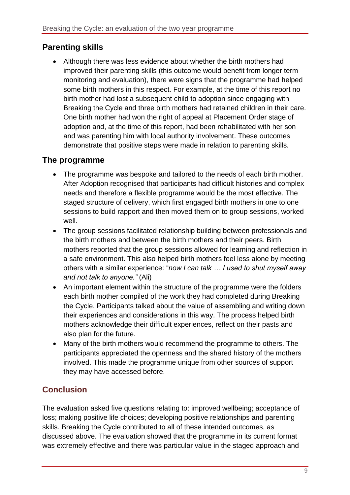#### <span id="page-8-0"></span>**Parenting skills**

 Although there was less evidence about whether the birth mothers had improved their parenting skills (this outcome would benefit from longer term monitoring and evaluation), there were signs that the programme had helped some birth mothers in this respect. For example, at the time of this report no birth mother had lost a subsequent child to adoption since engaging with Breaking the Cycle and three birth mothers had retained children in their care. One birth mother had won the right of appeal at Placement Order stage of adoption and, at the time of this report, had been rehabilitated with her son and was parenting him with local authority involvement. These outcomes demonstrate that positive steps were made in relation to parenting skills.

#### <span id="page-8-1"></span>**The programme**

- The programme was bespoke and tailored to the needs of each birth mother. After Adoption recognised that participants had difficult histories and complex needs and therefore a flexible programme would be the most effective. The staged structure of delivery, which first engaged birth mothers in one to one sessions to build rapport and then moved them on to group sessions, worked well.
- The group sessions facilitated relationship building between professionals and the birth mothers and between the birth mothers and their peers. Birth mothers reported that the group sessions allowed for learning and reflection in a safe environment. This also helped birth mothers feel less alone by meeting others with a similar experience: "*now I can talk … I used to shut myself away and not talk to anyone."* (Ali)
- An important element within the structure of the programme were the folders each birth mother compiled of the work they had completed during Breaking the Cycle. Participants talked about the value of assembling and writing down their experiences and considerations in this way. The process helped birth mothers acknowledge their difficult experiences, reflect on their pasts and also plan for the future.
- Many of the birth mothers would recommend the programme to others. The participants appreciated the openness and the shared history of the mothers involved. This made the programme unique from other sources of support they may have accessed before.

# <span id="page-8-2"></span>**Conclusion**

The evaluation asked five questions relating to: improved wellbeing; acceptance of loss; making positive life choices; developing positive relationships and parenting skills. Breaking the Cycle contributed to all of these intended outcomes, as discussed above. The evaluation showed that the programme in its current format was extremely effective and there was particular value in the staged approach and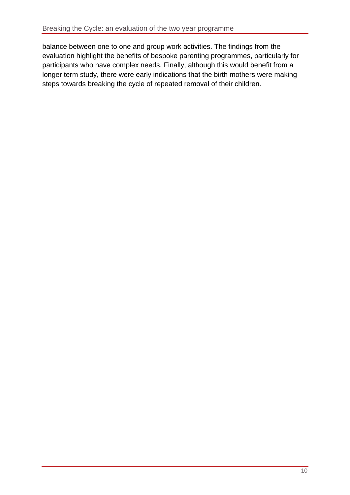balance between one to one and group work activities. The findings from the evaluation highlight the benefits of bespoke parenting programmes, particularly for participants who have complex needs. Finally, although this would benefit from a longer term study, there were early indications that the birth mothers were making steps towards breaking the cycle of repeated removal of their children.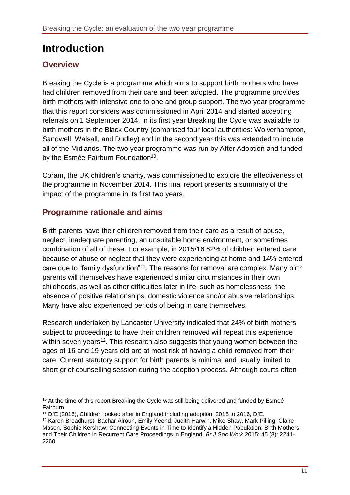# <span id="page-10-0"></span>**Introduction**

## <span id="page-10-1"></span>**Overview**

Breaking the Cycle is a programme which aims to support birth mothers who have had children removed from their care and been adopted. The programme provides birth mothers with intensive one to one and group support. The two year programme that this report considers was commissioned in April 2014 and started accepting referrals on 1 September 2014. In its first year Breaking the Cycle was available to birth mothers in the Black Country (comprised four local authorities: Wolverhampton, Sandwell, Walsall, and Dudley) and in the second year this was extended to include all of the Midlands. The two year programme was run by After Adoption and funded by the Esmée Fairburn Foundation<sup>10</sup>.

Coram, the UK children's charity, was commissioned to explore the effectiveness of the programme in November 2014. This final report presents a summary of the impact of the programme in its first two years.

# <span id="page-10-2"></span>**Programme rationale and aims**

Birth parents have their children removed from their care as a result of abuse, neglect, inadequate parenting, an unsuitable home environment, or sometimes combination of all of these. For example, in 2015/16 62% of children entered care because of abuse or neglect that they were experiencing at home and 14% entered care due to "family dysfunction"<sup>11</sup>. The reasons for removal are complex. Many birth parents will themselves have experienced similar circumstances in their own childhoods, as well as other difficulties later in life, such as homelessness, the absence of positive relationships, domestic violence and/or abusive relationships. Many have also experienced periods of being in care themselves.

Research undertaken by Lancaster University indicated that 24% of birth mothers subject to proceedings to have their children removed will repeat this experience within seven years<sup>12</sup>. This research also suggests that young women between the ages of 16 and 19 years old are at most risk of having a child removed from their care. Current statutory support for birth parents is minimal and usually limited to short grief counselling session during the adoption process. Although courts often

 $\overline{a}$ <sup>10</sup> At the time of this report Breaking the Cycle was still being delivered and funded by Esmeé Fairburn.

<sup>11</sup> DfE (2016), Children looked after in England including adoption: 2015 to 2016, DfE.

<sup>12</sup> Karen Broadhurst, Bachar Alrouh, Emily Yeend, Judith Harwin, Mike Shaw, Mark Pilling, Claire Mason, Sophie Kershaw; Connecting Events in Time to Identify a Hidden Population: Birth Mothers and Their Children in Recurrent Care Proceedings in England. *Br J Soc Work* 2015; 45 (8): 2241- 2260.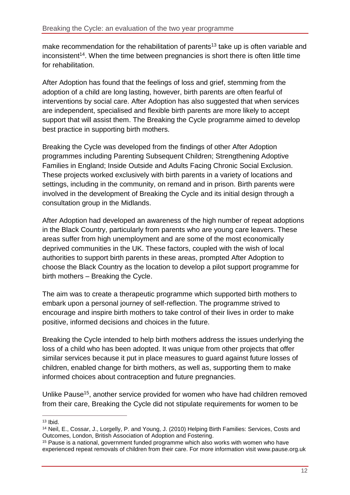make recommendation for the rehabilitation of parents<sup>13</sup> take up is often variable and inconsistent<sup>14</sup>. When the time between pregnancies is short there is often little time for rehabilitation.

After Adoption has found that the feelings of loss and grief, stemming from the adoption of a child are long lasting, however, birth parents are often fearful of interventions by social care. After Adoption has also suggested that when services are independent, specialised and flexible birth parents are more likely to accept support that will assist them. The Breaking the Cycle programme aimed to develop best practice in supporting birth mothers.

Breaking the Cycle was developed from the findings of other After Adoption programmes including Parenting Subsequent Children; Strengthening Adoptive Families in England; Inside Outside and Adults Facing Chronic Social Exclusion. These projects worked exclusively with birth parents in a variety of locations and settings, including in the community, on remand and in prison. Birth parents were involved in the development of Breaking the Cycle and its initial design through a consultation group in the Midlands.

After Adoption had developed an awareness of the high number of repeat adoptions in the Black Country, particularly from parents who are young care leavers. These areas suffer from high unemployment and are some of the most economically deprived communities in the UK. These factors, coupled with the wish of local authorities to support birth parents in these areas, prompted After Adoption to choose the Black Country as the location to develop a pilot support programme for birth mothers – Breaking the Cycle.

The aim was to create a therapeutic programme which supported birth mothers to embark upon a personal journey of self-reflection. The programme strived to encourage and inspire birth mothers to take control of their lives in order to make positive, informed decisions and choices in the future.

Breaking the Cycle intended to help birth mothers address the issues underlying the loss of a child who has been adopted. It was unique from other projects that offer similar services because it put in place measures to guard against future losses of children, enabled change for birth mothers, as well as, supporting them to make informed choices about contraception and future pregnancies.

Unlike Pause<sup>15</sup>, another service provided for women who have had children removed from their care, Breaking the Cycle did not stipulate requirements for women to be

 $\overline{a}$  $13$  Ibid.

<sup>14</sup> Neil, E., Cossar, J., Lorgelly, P. and Young, J. (2010) Helping Birth Families: Services, Costs and Outcomes, London, British Association of Adoption and Fostering.

<sup>&</sup>lt;sup>15</sup> Pause is a national, government funded programme which also works with women who have experienced repeat removals of children from their care. For more information visit www.pause.org.uk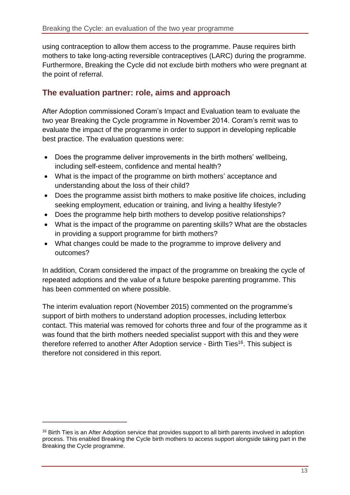using contraception to allow them access to the programme. Pause requires birth mothers to take long-acting reversible contraceptives (LARC) during the programme. Furthermore, Breaking the Cycle did not exclude birth mothers who were pregnant at the point of referral.

#### <span id="page-12-0"></span>**The evaluation partner: role, aims and approach**

After Adoption commissioned Coram's Impact and Evaluation team to evaluate the two year Breaking the Cycle programme in November 2014. Coram's remit was to evaluate the impact of the programme in order to support in developing replicable best practice. The evaluation questions were:

- Does the programme deliver improvements in the birth mothers' wellbeing, including self-esteem, confidence and mental health?
- What is the impact of the programme on birth mothers' acceptance and understanding about the loss of their child?
- Does the programme assist birth mothers to make positive life choices, including seeking employment, education or training, and living a healthy lifestyle?
- Does the programme help birth mothers to develop positive relationships?
- What is the impact of the programme on parenting skills? What are the obstacles in providing a support programme for birth mothers?
- What changes could be made to the programme to improve delivery and outcomes?

In addition, Coram considered the impact of the programme on breaking the cycle of repeated adoptions and the value of a future bespoke parenting programme. This has been commented on where possible.

The interim evaluation report (November 2015) commented on the programme's support of birth mothers to understand adoption processes, including letterbox contact. This material was removed for cohorts three and four of the programme as it was found that the birth mothers needed specialist support with this and they were therefore referred to another After Adoption service - Birth Ties<sup>16</sup>. This subject is therefore not considered in this report.

 $\overline{a}$ 

<sup>&</sup>lt;sup>16</sup> Birth Ties is an After Adoption service that provides support to all birth parents involved in adoption process. This enabled Breaking the Cycle birth mothers to access support alongside taking part in the Breaking the Cycle programme.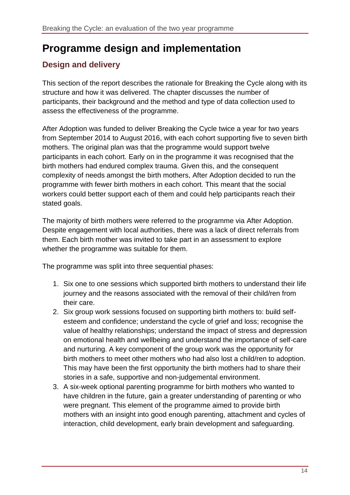# <span id="page-13-0"></span>**Programme design and implementation**

# <span id="page-13-1"></span>**Design and delivery**

This section of the report describes the rationale for Breaking the Cycle along with its structure and how it was delivered. The chapter discusses the number of participants, their background and the method and type of data collection used to assess the effectiveness of the programme.

After Adoption was funded to deliver Breaking the Cycle twice a year for two years from September 2014 to August 2016, with each cohort supporting five to seven birth mothers. The original plan was that the programme would support twelve participants in each cohort. Early on in the programme it was recognised that the birth mothers had endured complex trauma. Given this, and the consequent complexity of needs amongst the birth mothers, After Adoption decided to run the programme with fewer birth mothers in each cohort. This meant that the social workers could better support each of them and could help participants reach their stated goals.

The majority of birth mothers were referred to the programme via After Adoption. Despite engagement with local authorities, there was a lack of direct referrals from them. Each birth mother was invited to take part in an assessment to explore whether the programme was suitable for them.

The programme was split into three sequential phases:

- 1. Six one to one sessions which supported birth mothers to understand their life journey and the reasons associated with the removal of their child/ren from their care.
- 2. Six group work sessions focused on supporting birth mothers to: build selfesteem and confidence; understand the cycle of grief and loss; recognise the value of healthy relationships; understand the impact of stress and depression on emotional health and wellbeing and understand the importance of self-care and nurturing. A key component of the group work was the opportunity for birth mothers to meet other mothers who had also lost a child/ren to adoption. This may have been the first opportunity the birth mothers had to share their stories in a safe, supportive and non-judgemental environment.
- 3. A six-week optional parenting programme for birth mothers who wanted to have children in the future, gain a greater understanding of parenting or who were pregnant. This element of the programme aimed to provide birth mothers with an insight into good enough parenting, attachment and cycles of interaction, child development, early brain development and safeguarding.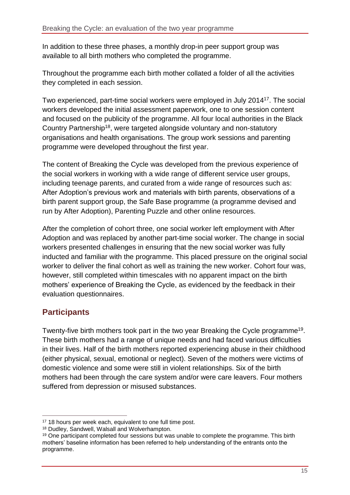In addition to these three phases, a monthly drop-in peer support group was available to all birth mothers who completed the programme.

Throughout the programme each birth mother collated a folder of all the activities they completed in each session.

Two experienced, part-time social workers were employed in July 2014<sup>17</sup>. The social workers developed the initial assessment paperwork, one to one session content and focused on the publicity of the programme. All four local authorities in the Black Country Partnership<sup>18</sup>, were targeted alongside voluntary and non-statutory organisations and health organisations. The group work sessions and parenting programme were developed throughout the first year.

The content of Breaking the Cycle was developed from the previous experience of the social workers in working with a wide range of different service user groups, including teenage parents, and curated from a wide range of resources such as: After Adoption's previous work and materials with birth parents, observations of a birth parent support group, the Safe Base programme (a programme devised and run by After Adoption), Parenting Puzzle and other online resources.

After the completion of cohort three, one social worker left employment with After Adoption and was replaced by another part-time social worker. The change in social workers presented challenges in ensuring that the new social worker was fully inducted and familiar with the programme. This placed pressure on the original social worker to deliver the final cohort as well as training the new worker. Cohort four was, however, still completed within timescales with no apparent impact on the birth mothers' experience of Breaking the Cycle, as evidenced by the feedback in their evaluation questionnaires.

### <span id="page-14-0"></span>**Participants**

Twenty-five birth mothers took part in the two year Breaking the Cycle programme<sup>19</sup>. These birth mothers had a range of unique needs and had faced various difficulties in their lives. Half of the birth mothers reported experiencing abuse in their childhood (either physical, sexual, emotional or neglect). Seven of the mothers were victims of domestic violence and some were still in violent relationships. Six of the birth mothers had been through the care system and/or were care leavers. Four mothers suffered from depression or misused substances.

 $\overline{a}$ <sup>17</sup> 18 hours per week each, equivalent to one full time post.

<sup>18</sup> Dudley, Sandwell, Walsall and Wolverhampton.

<sup>&</sup>lt;sup>19</sup> One participant completed four sessions but was unable to complete the programme. This birth mothers' baseline information has been referred to help understanding of the entrants onto the programme.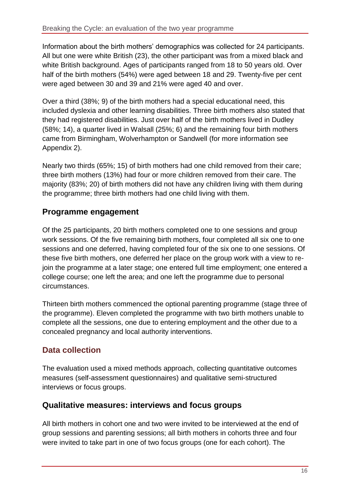Information about the birth mothers' demographics was collected for 24 participants. All but one were white British (23), the other participant was from a mixed black and white British background. Ages of participants ranged from 18 to 50 years old. Over half of the birth mothers (54%) were aged between 18 and 29. Twenty-five per cent were aged between 30 and 39 and 21% were aged 40 and over.

Over a third (38%; 9) of the birth mothers had a special educational need, this included dyslexia and other learning disabilities. Three birth mothers also stated that they had registered disabilities. Just over half of the birth mothers lived in Dudley (58%; 14), a quarter lived in Walsall (25%; 6) and the remaining four birth mothers came from Birmingham, Wolverhampton or Sandwell (for more information see Appendix 2).

Nearly two thirds (65%; 15) of birth mothers had one child removed from their care; three birth mothers (13%) had four or more children removed from their care. The majority (83%; 20) of birth mothers did not have any children living with them during the programme; three birth mothers had one child living with them.

### <span id="page-15-0"></span>**Programme engagement**

Of the 25 participants, 20 birth mothers completed one to one sessions and group work sessions. Of the five remaining birth mothers, four completed all six one to one sessions and one deferred, having completed four of the six one to one sessions. Of these five birth mothers, one deferred her place on the group work with a view to rejoin the programme at a later stage; one entered full time employment; one entered a college course; one left the area; and one left the programme due to personal circumstances.

Thirteen birth mothers commenced the optional parenting programme (stage three of the programme). Eleven completed the programme with two birth mothers unable to complete all the sessions, one due to entering employment and the other due to a concealed pregnancy and local authority interventions.

# <span id="page-15-1"></span>**Data collection**

The evaluation used a mixed methods approach, collecting quantitative outcomes measures (self-assessment questionnaires) and qualitative semi-structured interviews or focus groups.

#### <span id="page-15-2"></span>**Qualitative measures: interviews and focus groups**

All birth mothers in cohort one and two were invited to be interviewed at the end of group sessions and parenting sessions; all birth mothers in cohorts three and four were invited to take part in one of two focus groups (one for each cohort). The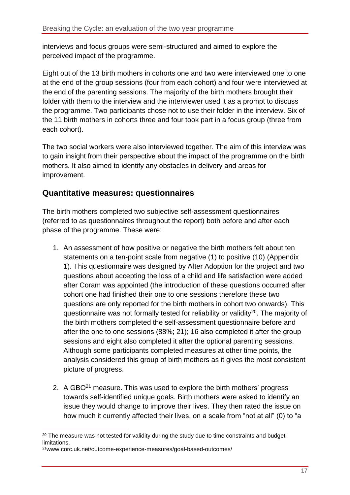interviews and focus groups were semi-structured and aimed to explore the perceived impact of the programme.

Eight out of the 13 birth mothers in cohorts one and two were interviewed one to one at the end of the group sessions (four from each cohort) and four were interviewed at the end of the parenting sessions. The majority of the birth mothers brought their folder with them to the interview and the interviewer used it as a prompt to discuss the programme. Two participants chose not to use their folder in the interview. Six of the 11 birth mothers in cohorts three and four took part in a focus group (three from each cohort).

The two social workers were also interviewed together. The aim of this interview was to gain insight from their perspective about the impact of the programme on the birth mothers. It also aimed to identify any obstacles in delivery and areas for improvement.

#### <span id="page-16-0"></span>**Quantitative measures: questionnaires**

The birth mothers completed two subjective self-assessment questionnaires (referred to as questionnaires throughout the report) both before and after each phase of the programme. These were:

- 1. An assessment of how positive or negative the birth mothers felt about ten statements on a ten-point scale from negative (1) to positive (10) (Appendix 1). This questionnaire was designed by After Adoption for the project and two questions about accepting the loss of a child and life satisfaction were added after Coram was appointed (the introduction of these questions occurred after cohort one had finished their one to one sessions therefore these two questions are only reported for the birth mothers in cohort two onwards). This questionnaire was not formally tested for reliability or validity<sup>20</sup>. The majority of the birth mothers completed the self-assessment questionnaire before and after the one to one sessions (88%; 21); 16 also completed it after the group sessions and eight also completed it after the optional parenting sessions. Although some participants completed measures at other time points, the analysis considered this group of birth mothers as it gives the most consistent picture of progress.
- 2. A GBO<sup>21</sup> measure. This was used to explore the birth mothers' progress towards self-identified unique goals. Birth mothers were asked to identify an issue they would change to improve their lives. They then rated the issue on how much it currently affected their lives, on a scale from "not at all" (0) to "a

 $\overline{a}$ 

 $20$  The measure was not tested for validity during the study due to time constraints and budget limitations.

<sup>21</sup>www.corc.uk.net/outcome-experience-measures/goal-based-outcomes/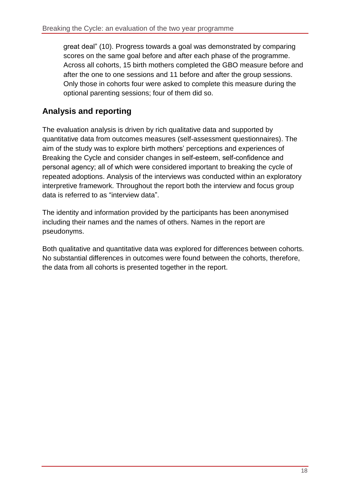great deal" (10). Progress towards a goal was demonstrated by comparing scores on the same goal before and after each phase of the programme. Across all cohorts, 15 birth mothers completed the GBO measure before and after the one to one sessions and 11 before and after the group sessions. Only those in cohorts four were asked to complete this measure during the optional parenting sessions; four of them did so.

## <span id="page-17-0"></span>**Analysis and reporting**

The evaluation analysis is driven by rich qualitative data and supported by quantitative data from outcomes measures (self-assessment questionnaires). The aim of the study was to explore birth mothers' perceptions and experiences of Breaking the Cycle and consider changes in self-esteem, self-confidence and personal agency; all of which were considered important to breaking the cycle of repeated adoptions. Analysis of the interviews was conducted within an exploratory interpretive framework. Throughout the report both the interview and focus group data is referred to as "interview data".

The identity and information provided by the participants has been anonymised including their names and the names of others. Names in the report are pseudonyms.

Both qualitative and quantitative data was explored for differences between cohorts. No substantial differences in outcomes were found between the cohorts, therefore, the data from all cohorts is presented together in the report.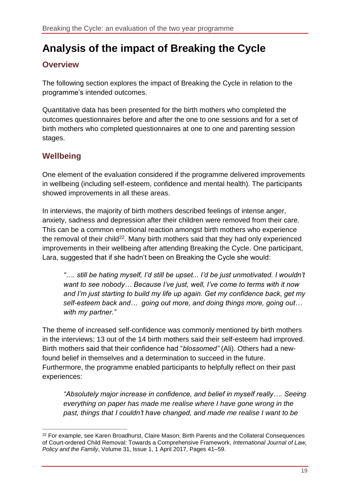# <span id="page-18-0"></span>**Analysis of the impact of Breaking the Cycle**

### <span id="page-18-1"></span>**Overview**

The following section explores the impact of Breaking the Cycle in relation to the programme's intended outcomes.

Quantitative data has been presented for the birth mothers who completed the outcomes questionnaires before and after the one to one sessions and for a set of birth mothers who completed questionnaires at one to one and parenting session stages.

# <span id="page-18-2"></span>**Wellbeing**

One element of the evaluation considered if the programme delivered improvements in wellbeing (including self-esteem, confidence and mental health). The participants showed improvements in all these areas.

In interviews, the majority of birth mothers described feelings of intense anger, anxiety, sadness and depression after their children were removed from their care. This can be a common emotional reaction amongst birth mothers who experience the removal of their child<sup>22</sup>. Many birth mothers said that they had only experienced improvements in their wellbeing after attending Breaking the Cycle. One participant, Lara, suggested that if she hadn't been on Breaking the Cycle she would:

*"…. still be hating myself, I'd still be upset... I'd be just unmotivated. I wouldn't want to see nobody… Because I've just, well, I've come to terms with it now and I'm just starting to build my life up again. Get my confidence back, get my self-esteem back and… going out more, and doing things more, going out… with my partner."*

The theme of increased self-confidence was commonly mentioned by birth mothers in the interviews; 13 out of the 14 birth mothers said their self-esteem had improved. Birth mothers said that their confidence had "*blossomed"* (Ali). Others had a newfound belief in themselves and a determination to succeed in the future. Furthermore, the programme enabled participants to helpfully reflect on their past experiences:

*"Absolutely major increase in confidence, and belief in myself really…. Seeing everything on paper has made me realise where I have gone wrong in the past, things that I couldn't have changed, and made me realise I want to be* 

 $\overline{a}$ <sup>22</sup> For example, see Karen Broadhurst, Claire Mason; Birth Parents and the Collateral Consequences of Court-ordered Child Removal: Towards a Comprehensive Framework, *International Journal of Law, Policy and the Family*, Volume 31, Issue 1, 1 April 2017, Pages 41–59.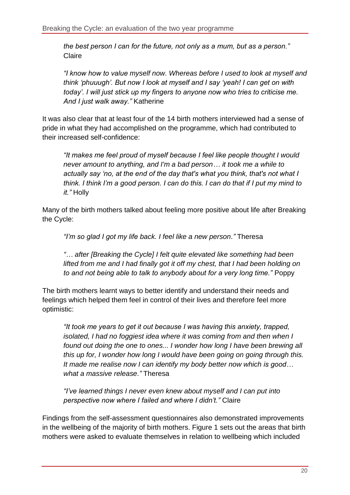*the best person I can for the future, not only as a mum, but as a person."*  Claire

*"I know how to value myself now. Whereas before I used to look at myself and think 'phuuugh'. But now I look at myself and I say 'yeah! I can get on with today'. I will just stick up my fingers to anyone now who tries to criticise me. And I just walk away."* Katherine

It was also clear that at least four of the 14 birth mothers interviewed had a sense of pride in what they had accomplished on the programme, which had contributed to their increased self-confidence:

*"It makes me feel proud of myself because I feel like people thought I would never amount to anything, and I'm a bad person… it took me a while to actually say 'no, at the end of the day that's what you think, that's not what I think. I think I'm a good person. I can do this. I can do that if I put my mind to it."* Holly

Many of the birth mothers talked about feeling more positive about life after Breaking the Cycle:

*"I'm so glad I got my life back. I feel like a new person."* Theresa

*"… after [Breaking the Cycle] I felt quite elevated like something had been lifted from me and I had finally got it off my chest, that I had been holding on to and not being able to talk to anybody about for a very long time."* Poppy

The birth mothers learnt ways to better identify and understand their needs and feelings which helped them feel in control of their lives and therefore feel more optimistic:

*"It took me years to get it out because I was having this anxiety, trapped, isolated, I had no foggiest idea where it was coming from and then when I found out doing the one to ones... I wonder how long I have been brewing all this up for, I wonder how long I would have been going on going through this. It made me realise now I can identify my body better now which is good… what a massive release."* Theresa

*"I've learned things I never even knew about myself and I can put into perspective now where I failed and where I didn't."* Claire

Findings from the self-assessment questionnaires also demonstrated improvements in the wellbeing of the majority of birth mothers. Figure 1 sets out the areas that birth mothers were asked to evaluate themselves in relation to wellbeing which included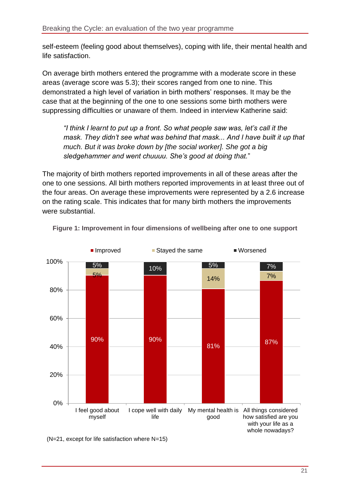self-esteem (feeling good about themselves), coping with life, their mental health and life satisfaction.

On average birth mothers entered the programme with a moderate score in these areas (average score was 5.3); their scores ranged from one to nine. This demonstrated a high level of variation in birth mothers' responses. It may be the case that at the beginning of the one to one sessions some birth mothers were suppressing difficulties or unaware of them. Indeed in interview Katherine said:

*"I think I learnt to put up a front. So what people saw was, let's call it the mask. They didn't see what was behind that mask... And I have built it up that much. But it was broke down by [the social worker]. She got a big sledgehammer and went chuuuu. She's good at doing that.*"

The majority of birth mothers reported improvements in all of these areas after the one to one sessions. All birth mothers reported improvements in at least three out of the four areas. On average these improvements were represented by a 2.6 increase on the rating scale. This indicates that for many birth mothers the improvements were substantial.



<span id="page-20-0"></span>**Figure 1: Improvement in four dimensions of wellbeing after one to one support**

(N=21, except for life satisfaction where N=15)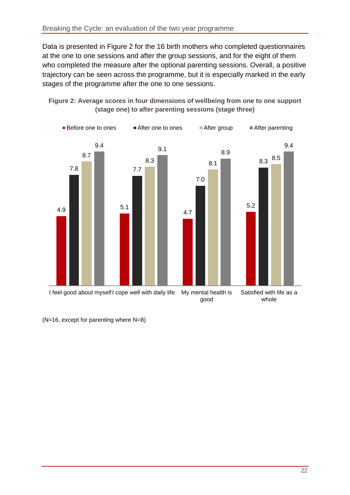Data is presented in Figure 2 for the 16 birth mothers who completed questionnaires at the one to one sessions and after the group sessions, and for the eight of them who completed the measure after the optional parenting sessions. Overall, a positive trajectory can be seen across the programme, but it is especially marked in the early stages of the programme after the one to one sessions.

<span id="page-21-0"></span>



(N=16, except for parenting where N=8)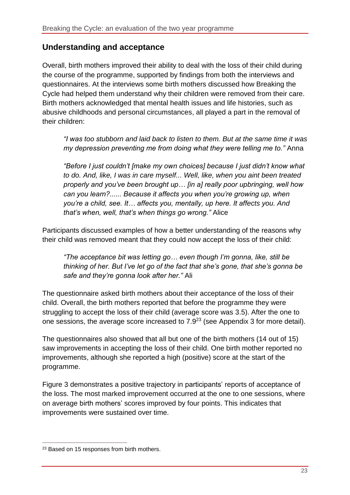#### <span id="page-22-0"></span>**Understanding and acceptance**

Overall, birth mothers improved their ability to deal with the loss of their child during the course of the programme, supported by findings from both the interviews and questionnaires. At the interviews some birth mothers discussed how Breaking the Cycle had helped them understand why their children were removed from their care. Birth mothers acknowledged that mental health issues and life histories, such as abusive childhoods and personal circumstances, all played a part in the removal of their children:

*"I was too stubborn and laid back to listen to them. But at the same time it was my depression preventing me from doing what they were telling me to."* Anna

*"Before I just couldn't [make my own choices] because I just didn't know what to do. And, like, I was in care myself... Well, like, when you aint been treated properly and you've been brought up… [in a] really poor upbringing, well how can you learn?...... Because it affects you when you're growing up, when you're a child, see. It… affects you, mentally, up here. It affects you. And that's when, well, that's when things go wrong."* Alice

Participants discussed examples of how a better understanding of the reasons why their child was removed meant that they could now accept the loss of their child:

*"The acceptance bit was letting go… even though I'm gonna, like, still be thinking of her. But I've let go of the fact that she's gone, that she's gonna be safe and they're gonna look after her."* Ali

The questionnaire asked birth mothers about their acceptance of the loss of their child. Overall, the birth mothers reported that before the programme they were struggling to accept the loss of their child (average score was 3.5). After the one to one sessions, the average score increased to 7.9<sup>23</sup> (see Appendix 3 for more detail).

The questionnaires also showed that all but one of the birth mothers (14 out of 15) saw improvements in accepting the loss of their child. One birth mother reported no improvements, although she reported a high (positive) score at the start of the programme.

Figure 3 demonstrates a positive trajectory in participants' reports of acceptance of the loss. The most marked improvement occurred at the one to one sessions, where on average birth mothers' scores improved by four points. This indicates that improvements were sustained over time.

 $\overline{a}$ 

<sup>&</sup>lt;sup>23</sup> Based on 15 responses from birth mothers.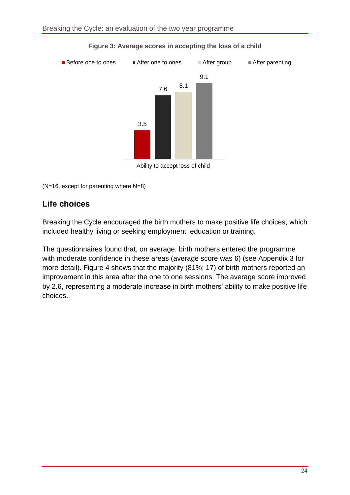<span id="page-23-1"></span>

#### **Figure 3: Average scores in accepting the loss of a child**

Ability to accept loss of child

(N=16, except for parenting where N=8)

### <span id="page-23-0"></span>**Life choices**

Breaking the Cycle encouraged the birth mothers to make positive life choices, which included healthy living or seeking employment, education or training.

The questionnaires found that, on average, birth mothers entered the programme with moderate confidence in these areas (average score was 6) (see Appendix 3 for more detail). Figure 4 shows that the majority (81%; 17) of birth mothers reported an improvement in this area after the one to one sessions. The average score improved by 2.6, representing a moderate increase in birth mothers' ability to make positive life choices.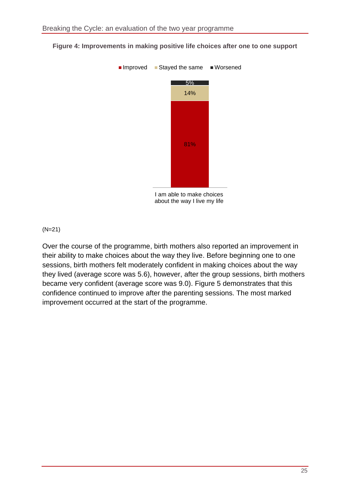

#### <span id="page-24-0"></span>**Figure 4: Improvements in making positive life choices after one to one support**

I am able to make choices about the way I live my life

#### (N=21)

Over the course of the programme, birth mothers also reported an improvement in their ability to make choices about the way they live. Before beginning one to one sessions, birth mothers felt moderately confident in making choices about the way they lived (average score was 5.6), however, after the group sessions, birth mothers became very confident (average score was 9.0). Figure 5 demonstrates that this confidence continued to improve after the parenting sessions. The most marked improvement occurred at the start of the programme.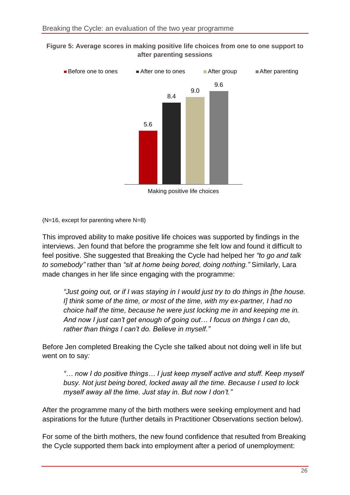<span id="page-25-0"></span>



(N=16, except for parenting where N=8)

This improved ability to make positive life choices was supported by findings in the interviews. Jen found that before the programme she felt low and found it difficult to feel positive. She suggested that Breaking the Cycle had helped her *"to go and talk to somebody"* rather than *"sit at home being bored, doing nothing."* Similarly, Lara made changes in her life since engaging with the programme:

*"Just going out, or if I was staying in I would just try to do things in [the house. I] think some of the time, or most of the time, with my ex-partner, I had no choice half the time, because he were just locking me in and keeping me in. And now I just can't get enough of going out… I focus on things I can do, rather than things I can't do. Believe in myself."*

Before Jen completed Breaking the Cycle she talked about not doing well in life but went on to say*:* 

*"… now I do positive things… I just keep myself active and stuff. Keep myself busy. Not just being bored, locked away all the time. Because I used to lock myself away all the time. Just stay in. But now I don't."*

After the programme many of the birth mothers were seeking employment and had aspirations for the future (further details in Practitioner Observations section below).

For some of the birth mothers, the new found confidence that resulted from Breaking the Cycle supported them back into employment after a period of unemployment: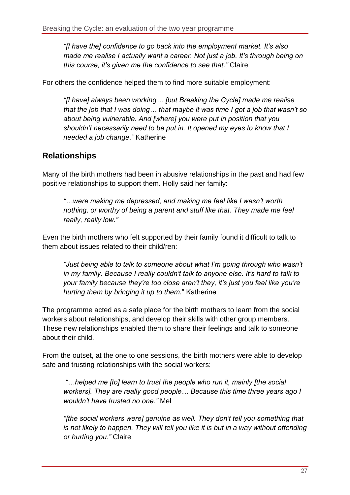*"[I have the] confidence to go back into the employment market. It's also made me realise I actually want a career. Not just a job. It's through being on this course, it's given me the confidence to see that."* Claire

For others the confidence helped them to find more suitable employment:

*"[I have] always been working… [but Breaking the Cycle] made me realise that the job that I was doing… that maybe it was time I got a job that wasn't so about being vulnerable. And [where] you were put in position that you shouldn't necessarily need to be put in. It opened my eyes to know that I needed a job change."* Katherine

### <span id="page-26-0"></span>**Relationships**

Many of the birth mothers had been in abusive relationships in the past and had few positive relationships to support them. Holly said her family:

*"…were making me depressed, and making me feel like I wasn't worth nothing, or worthy of being a parent and stuff like that. They made me feel really, really low."*

Even the birth mothers who felt supported by their family found it difficult to talk to them about issues related to their child/ren:

*"Just being able to talk to someone about what I'm going through who wasn't in my family. Because I really couldn't talk to anyone else. It's hard to talk to your family because they're too close aren't they, it's just you feel like you're hurting them by bringing it up to them.*" Katherine

The programme acted as a safe place for the birth mothers to learn from the social workers about relationships, and develop their skills with other group members. These new relationships enabled them to share their feelings and talk to someone about their child.

From the outset, at the one to one sessions, the birth mothers were able to develop safe and trusting relationships with the social workers:

*"…helped me [to] learn to trust the people who run it, mainly [the social workers]. They are really good people… Because this time three years ago I wouldn't have trusted no one."* Mel

*"[the social workers were] genuine as well. They don't tell you something that is not likely to happen. They will tell you like it is but in a way without offending or hurting you."* Claire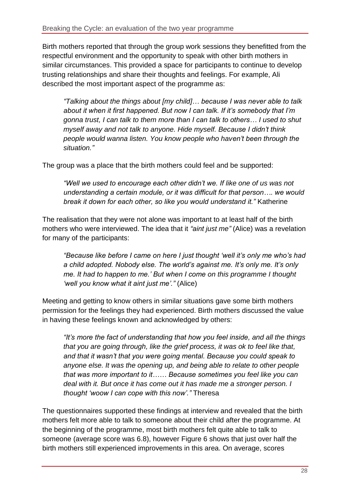Birth mothers reported that through the group work sessions they benefitted from the respectful environment and the opportunity to speak with other birth mothers in similar circumstances. This provided a space for participants to continue to develop trusting relationships and share their thoughts and feelings. For example, Ali described the most important aspect of the programme as:

*"Talking about the things about [my child]… because I was never able to talk about it when it first happened. But now I can talk. If it's somebody that I'm gonna trust, I can talk to them more than I can talk to others… I used to shut myself away and not talk to anyone. Hide myself. Because I didn't think people would wanna listen. You know people who haven't been through the situation."*

The group was a place that the birth mothers could feel and be supported:

"Well we used to encourage each other didn't we. If like one of us was not *understanding a certain module, or it was difficult for that person…. we would break it down for each other, so like you would understand it."* Katherine

The realisation that they were not alone was important to at least half of the birth mothers who were interviewed. The idea that it *"aint just me"* (Alice) was a revelation for many of the participants:

*"Because like before I came on here I just thought 'well it's only me who's had a child adopted. Nobody else. The world's against me. It's only me. It's only me. It had to happen to me.' But when I come on this programme I thought 'well you know what it aint just me'."* (Alice)

Meeting and getting to know others in similar situations gave some birth mothers permission for the feelings they had experienced. Birth mothers discussed the value in having these feelings known and acknowledged by others:

*"It's more the fact of understanding that how you feel inside, and all the things that you are going through, like the grief process, it was ok to feel like that, and that it wasn't that you were going mental. Because you could speak to anyone else. It was the opening up, and being able to relate to other people that was more important to it…… Because sometimes you feel like you can deal with it. But once it has come out it has made me a stronger person. I thought 'woow I can cope with this now'."* Theresa

The questionnaires supported these findings at interview and revealed that the birth mothers felt more able to talk to someone about their child after the programme. At the beginning of the programme, most birth mothers felt quite able to talk to someone (average score was 6.8), however Figure 6 shows that just over half the birth mothers still experienced improvements in this area. On average, scores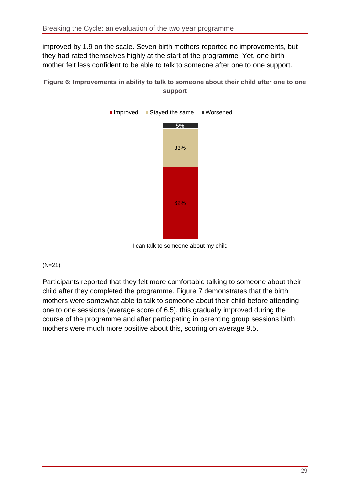improved by 1.9 on the scale. Seven birth mothers reported no improvements, but they had rated themselves highly at the start of the programme. Yet, one birth mother felt less confident to be able to talk to someone after one to one support.

<span id="page-28-0"></span>**Figure 6: Improvements in ability to talk to someone about their child after one to one support**



I can talk to someone about my child

#### (N=21)

<span id="page-28-1"></span>Participants reported that they felt more comfortable talking to someone about their child after they completed the programme. Figure 7 demonstrates that the birth mothers were somewhat able to talk to someone about their child before attending one to one sessions (average score of 6.5), this gradually improved during the course of the programme and after participating in parenting group sessions birth mothers were much more positive about this, scoring on average 9.5.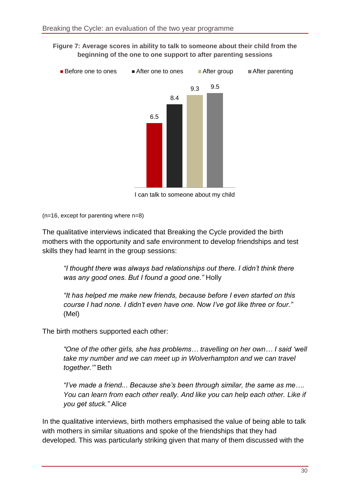**Figure 7: Average scores in ability to talk to someone about their child from the beginning of the one to one support to after parenting sessions**



I can talk to someone about my child

(n=16, except for parenting where n=8)

The qualitative interviews indicated that Breaking the Cycle provided the birth mothers with the opportunity and safe environment to develop friendships and test skills they had learnt in the group sessions:

*"I thought there was always bad relationships out there. I didn't think there was any good ones. But I found a good one."* Holly

*"It has helped me make new friends, because before I even started on this course I had none. I didn't even have one. Now I've got like three or four."* (Mel)

The birth mothers supported each other:

*"One of the other girls, she has problems… travelling on her own… I said 'well take my number and we can meet up in Wolverhampton and we can travel together.'"* Beth

*"I've made a friend... Because she's been through similar, the same as me…. You can learn from each other really. And like you can help each other. Like if you get stuck."* Alice

In the qualitative interviews, birth mothers emphasised the value of being able to talk with mothers in similar situations and spoke of the friendships that they had developed. This was particularly striking given that many of them discussed with the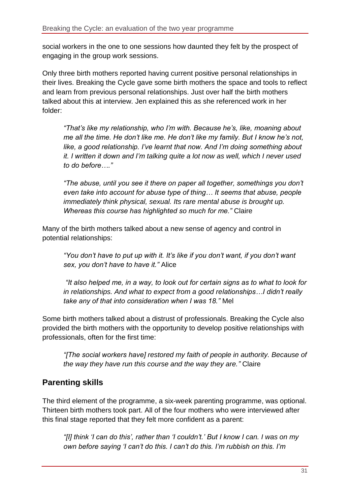social workers in the one to one sessions how daunted they felt by the prospect of engaging in the group work sessions.

Only three birth mothers reported having current positive personal relationships in their lives. Breaking the Cycle gave some birth mothers the space and tools to reflect and learn from previous personal relationships. Just over half the birth mothers talked about this at interview. Jen explained this as she referenced work in her folder:

*"That's like my relationship, who I'm with. Because he's, like, moaning about me all the time. He don't like me. He don't like my family. But I know he's not, like, a good relationship. I've learnt that now. And I'm doing something about it. I written it down and I'm talking quite a lot now as well, which I never used to do before…."*

*"The abuse, until you see it there on paper all together, somethings you don't even take into account for abuse type of thing… It seems that abuse, people immediately think physical, sexual. Its rare mental abuse is brought up. Whereas this course has highlighted so much for me."* Claire

Many of the birth mothers talked about a new sense of agency and control in potential relationships:

*"You don't have to put up with it. It's like if you don't want, if you don't want sex, you don't have to have it."* Alice

*"It also helped me, in a way, to look out for certain signs as to what to look for in relationships. And what to expect from a good relationships…I didn't really take any of that into consideration when I was 18."* Mel

Some birth mothers talked about a distrust of professionals. Breaking the Cycle also provided the birth mothers with the opportunity to develop positive relationships with professionals, often for the first time:

*"[The social workers have] restored my faith of people in authority. Because of the way they have run this course and the way they are."* Claire

# <span id="page-30-0"></span>**Parenting skills**

The third element of the programme, a six-week parenting programme, was optional. Thirteen birth mothers took part. All of the four mothers who were interviewed after this final stage reported that they felt more confident as a parent:

*"[I] think 'I can do this', rather than 'I couldn't.' But I know I can. I was on my own before saying 'I can't do this. I can't do this. I'm rubbish on this. I'm*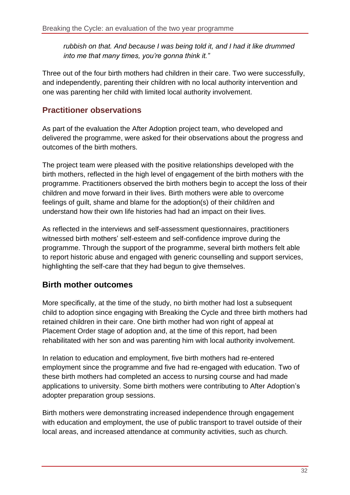*rubbish on that. And because I was being told it, and I had it like drummed into me that many times, you're gonna think it."*

Three out of the four birth mothers had children in their care. Two were successfully, and independently, parenting their children with no local authority intervention and one was parenting her child with limited local authority involvement.

## <span id="page-31-0"></span>**Practitioner observations**

As part of the evaluation the After Adoption project team, who developed and delivered the programme, were asked for their observations about the progress and outcomes of the birth mothers.

The project team were pleased with the positive relationships developed with the birth mothers, reflected in the high level of engagement of the birth mothers with the programme. Practitioners observed the birth mothers begin to accept the loss of their children and move forward in their lives. Birth mothers were able to overcome feelings of guilt, shame and blame for the adoption(s) of their child/ren and understand how their own life histories had had an impact on their lives.

As reflected in the interviews and self-assessment questionnaires, practitioners witnessed birth mothers' self-esteem and self-confidence improve during the programme. Through the support of the programme, several birth mothers felt able to report historic abuse and engaged with generic counselling and support services, highlighting the self-care that they had begun to give themselves.

### <span id="page-31-1"></span>**Birth mother outcomes**

More specifically, at the time of the study, no birth mother had lost a subsequent child to adoption since engaging with Breaking the Cycle and three birth mothers had retained children in their care. One birth mother had won right of appeal at Placement Order stage of adoption and, at the time of this report, had been rehabilitated with her son and was parenting him with local authority involvement.

In relation to education and employment, five birth mothers had re-entered employment since the programme and five had re-engaged with education. Two of these birth mothers had completed an access to nursing course and had made applications to university. Some birth mothers were contributing to After Adoption's adopter preparation group sessions.

Birth mothers were demonstrating increased independence through engagement with education and employment, the use of public transport to travel outside of their local areas, and increased attendance at community activities, such as church.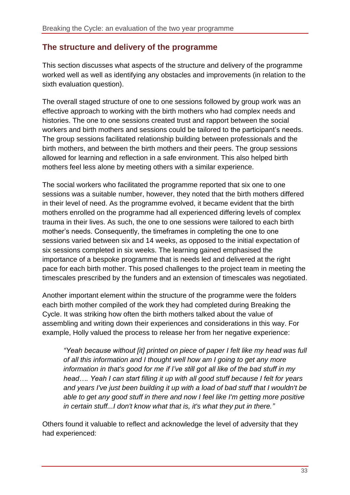#### <span id="page-32-0"></span>**The structure and delivery of the programme**

This section discusses what aspects of the structure and delivery of the programme worked well as well as identifying any obstacles and improvements (in relation to the sixth evaluation question).

The overall staged structure of one to one sessions followed by group work was an effective approach to working with the birth mothers who had complex needs and histories. The one to one sessions created trust and rapport between the social workers and birth mothers and sessions could be tailored to the participant's needs. The group sessions facilitated relationship building between professionals and the birth mothers, and between the birth mothers and their peers. The group sessions allowed for learning and reflection in a safe environment. This also helped birth mothers feel less alone by meeting others with a similar experience.

The social workers who facilitated the programme reported that six one to one sessions was a suitable number, however, they noted that the birth mothers differed in their level of need. As the programme evolved, it became evident that the birth mothers enrolled on the programme had all experienced differing levels of complex trauma in their lives. As such, the one to one sessions were tailored to each birth mother's needs. Consequently, the timeframes in completing the one to one sessions varied between six and 14 weeks, as opposed to the initial expectation of six sessions completed in six weeks. The learning gained emphasised the importance of a bespoke programme that is needs led and delivered at the right pace for each birth mother. This posed challenges to the project team in meeting the timescales prescribed by the funders and an extension of timescales was negotiated.

Another important element within the structure of the programme were the folders each birth mother compiled of the work they had completed during Breaking the Cycle. It was striking how often the birth mothers talked about the value of assembling and writing down their experiences and considerations in this way. For example, Holly valued the process to release her from her negative experience:

*"Yeah because without [it] printed on piece of paper I felt like my head was full of all this information and I thought well how am I going to get any more information in that's good for me if I've still got all like of the bad stuff in my head…. Yeah I can start filling it up with all good stuff because I felt for years and years I've just been building it up with a load of bad stuff that I wouldn't be able to get any good stuff in there and now I feel like I'm getting more positive in certain stuff...I don't know what that is, it's what they put in there."*

Others found it valuable to reflect and acknowledge the level of adversity that they had experienced: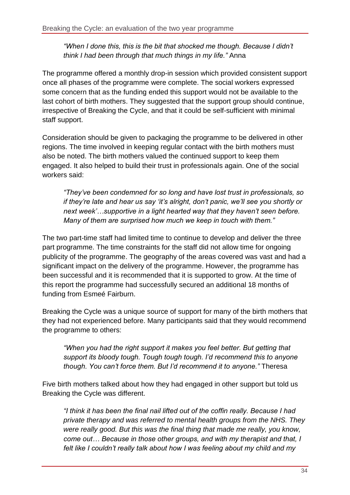*"When I done this, this is the bit that shocked me though. Because I didn't think I had been through that much things in my life."* Anna

The programme offered a monthly drop-in session which provided consistent support once all phases of the programme were complete. The social workers expressed some concern that as the funding ended this support would not be available to the last cohort of birth mothers. They suggested that the support group should continue, irrespective of Breaking the Cycle, and that it could be self-sufficient with minimal staff support.

Consideration should be given to packaging the programme to be delivered in other regions. The time involved in keeping regular contact with the birth mothers must also be noted. The birth mothers valued the continued support to keep them engaged. It also helped to build their trust in professionals again. One of the social workers said:

*"They've been condemned for so long and have lost trust in professionals, so if they're late and hear us say 'it's alright, don't panic, we'll see you shortly or next week'…supportive in a light hearted way that they haven't seen before. Many of them are surprised how much we keep in touch with them."*

The two part-time staff had limited time to continue to develop and deliver the three part programme. The time constraints for the staff did not allow time for ongoing publicity of the programme. The geography of the areas covered was vast and had a significant impact on the delivery of the programme. However, the programme has been successful and it is recommended that it is supported to grow. At the time of this report the programme had successfully secured an additional 18 months of funding from Esmeé Fairburn.

Breaking the Cycle was a unique source of support for many of the birth mothers that they had not experienced before. Many participants said that they would recommend the programme to others:

*"When you had the right support it makes you feel better. But getting that support its bloody tough. Tough tough tough. I'd recommend this to anyone though. You can't force them. But I'd recommend it to anyone."* Theresa

Five birth mothers talked about how they had engaged in other support but told us Breaking the Cycle was different.

*"I think it has been the final nail lifted out of the coffin really. Because I had private therapy and was referred to mental health groups from the NHS. They were really good. But this was the final thing that made me really, you know, come out… Because in those other groups, and with my therapist and that, I felt like I couldn't really talk about how I was feeling about my child and my*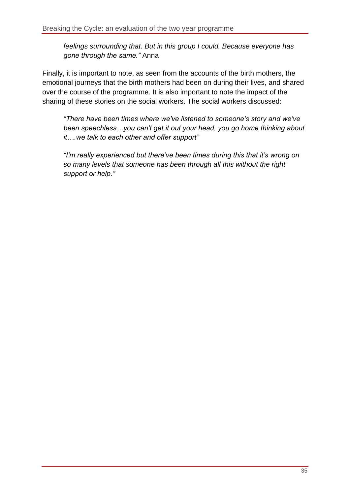*feelings surrounding that. But in this group I could. Because everyone has gone through the same."* Anna

Finally, it is important to note, as seen from the accounts of the birth mothers, the emotional journeys that the birth mothers had been on during their lives, and shared over the course of the programme. It is also important to note the impact of the sharing of these stories on the social workers. The social workers discussed:

*"There have been times where we've listened to someone's story and we've been speechless…you can't get it out your head, you go home thinking about it….we talk to each other and offer support"*

*"I'm really experienced but there've been times during this that it's wrong on so many levels that someone has been through all this without the right support or help."*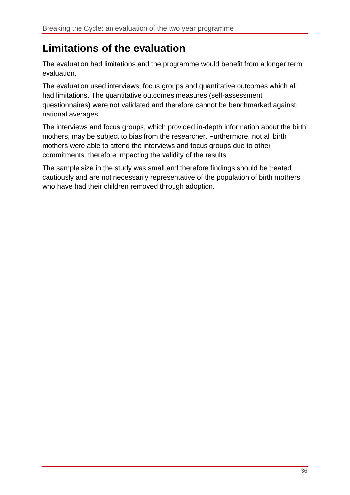# <span id="page-35-0"></span>**Limitations of the evaluation**

The evaluation had limitations and the programme would benefit from a longer term evaluation.

The evaluation used interviews, focus groups and quantitative outcomes which all had limitations. The quantitative outcomes measures (self-assessment questionnaires) were not validated and therefore cannot be benchmarked against national averages.

The interviews and focus groups, which provided in-depth information about the birth mothers, may be subject to bias from the researcher. Furthermore, not all birth mothers were able to attend the interviews and focus groups due to other commitments, therefore impacting the validity of the results.

The sample size in the study was small and therefore findings should be treated cautiously and are not necessarily representative of the population of birth mothers who have had their children removed through adoption.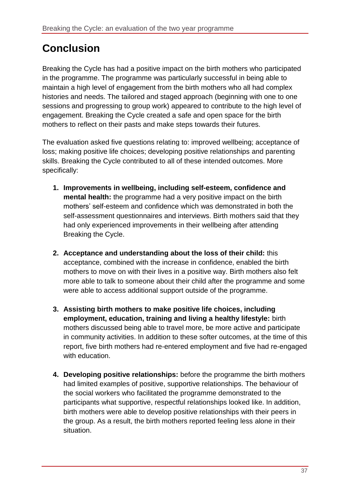# <span id="page-36-0"></span>**Conclusion**

Breaking the Cycle has had a positive impact on the birth mothers who participated in the programme. The programme was particularly successful in being able to maintain a high level of engagement from the birth mothers who all had complex histories and needs. The tailored and staged approach (beginning with one to one sessions and progressing to group work) appeared to contribute to the high level of engagement. Breaking the Cycle created a safe and open space for the birth mothers to reflect on their pasts and make steps towards their futures.

The evaluation asked five questions relating to: improved wellbeing; acceptance of loss; making positive life choices; developing positive relationships and parenting skills. Breaking the Cycle contributed to all of these intended outcomes. More specifically:

- **1. Improvements in wellbeing, including self-esteem, confidence and mental health:** the programme had a very positive impact on the birth mothers' self-esteem and confidence which was demonstrated in both the self-assessment questionnaires and interviews. Birth mothers said that they had only experienced improvements in their wellbeing after attending Breaking the Cycle.
- **2. Acceptance and understanding about the loss of their child:** this acceptance, combined with the increase in confidence, enabled the birth mothers to move on with their lives in a positive way. Birth mothers also felt more able to talk to someone about their child after the programme and some were able to access additional support outside of the programme.
- **3. Assisting birth mothers to make positive life choices, including employment, education, training and living a healthy lifestyle:** birth mothers discussed being able to travel more, be more active and participate in community activities. In addition to these softer outcomes, at the time of this report, five birth mothers had re-entered employment and five had re-engaged with education.
- **4. Developing positive relationships:** before the programme the birth mothers had limited examples of positive, supportive relationships. The behaviour of the social workers who facilitated the programme demonstrated to the participants what supportive, respectful relationships looked like. In addition, birth mothers were able to develop positive relationships with their peers in the group. As a result, the birth mothers reported feeling less alone in their situation.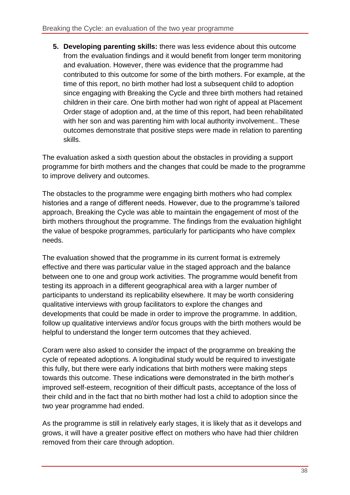**5. Developing parenting skills:** there was less evidence about this outcome from the evaluation findings and it would benefit from longer term monitoring and evaluation. However, there was evidence that the programme had contributed to this outcome for some of the birth mothers. For example, at the time of this report, no birth mother had lost a subsequent child to adoption since engaging with Breaking the Cycle and three birth mothers had retained children in their care. One birth mother had won right of appeal at Placement Order stage of adoption and, at the time of this report, had been rehabilitated with her son and was parenting him with local authority involvement.. These outcomes demonstrate that positive steps were made in relation to parenting skills.

The evaluation asked a sixth question about the obstacles in providing a support programme for birth mothers and the changes that could be made to the programme to improve delivery and outcomes.

The obstacles to the programme were engaging birth mothers who had complex histories and a range of different needs. However, due to the programme's tailored approach, Breaking the Cycle was able to maintain the engagement of most of the birth mothers throughout the programme. The findings from the evaluation highlight the value of bespoke programmes, particularly for participants who have complex needs.

The evaluation showed that the programme in its current format is extremely effective and there was particular value in the staged approach and the balance between one to one and group work activities. The programme would benefit from testing its approach in a different geographical area with a larger number of participants to understand its replicability elsewhere. It may be worth considering qualitative interviews with group facilitators to explore the changes and developments that could be made in order to improve the programme. In addition, follow up qualitative interviews and/or focus groups with the birth mothers would be helpful to understand the longer term outcomes that they achieved.

Coram were also asked to consider the impact of the programme on breaking the cycle of repeated adoptions. A longitudinal study would be required to investigate this fully, but there were early indications that birth mothers were making steps towards this outcome. These indications were demonstrated in the birth mother's improved self-esteem, recognition of their difficult pasts, acceptance of the loss of their child and in the fact that no birth mother had lost a child to adoption since the two year programme had ended.

As the programme is still in relatively early stages, it is likely that as it develops and grows, it will have a greater positive effect on mothers who have had thier children removed from their care through adoption.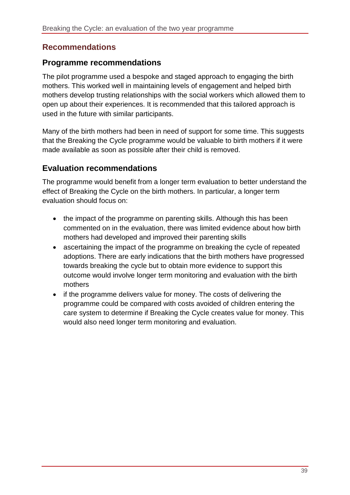#### <span id="page-38-0"></span>**Recommendations**

#### <span id="page-38-1"></span>**Programme recommendations**

The pilot programme used a bespoke and staged approach to engaging the birth mothers. This worked well in maintaining levels of engagement and helped birth mothers develop trusting relationships with the social workers which allowed them to open up about their experiences. It is recommended that this tailored approach is used in the future with similar participants.

Many of the birth mothers had been in need of support for some time. This suggests that the Breaking the Cycle programme would be valuable to birth mothers if it were made available as soon as possible after their child is removed.

#### <span id="page-38-2"></span>**Evaluation recommendations**

The programme would benefit from a longer term evaluation to better understand the effect of Breaking the Cycle on the birth mothers. In particular, a longer term evaluation should focus on:

- the impact of the programme on parenting skills. Although this has been commented on in the evaluation, there was limited evidence about how birth mothers had developed and improved their parenting skills
- ascertaining the impact of the programme on breaking the cycle of repeated adoptions. There are early indications that the birth mothers have progressed towards breaking the cycle but to obtain more evidence to support this outcome would involve longer term monitoring and evaluation with the birth mothers
- if the programme delivers value for money. The costs of delivering the programme could be compared with costs avoided of children entering the care system to determine if Breaking the Cycle creates value for money. This would also need longer term monitoring and evaluation.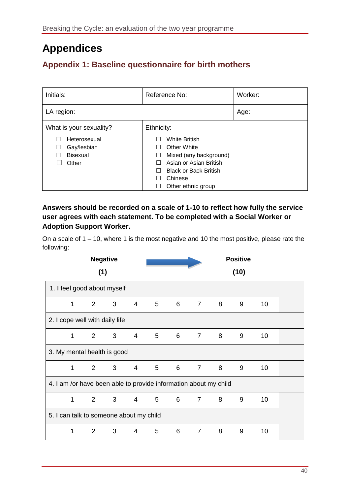# <span id="page-39-0"></span>**Appendices**

# <span id="page-39-1"></span>**Appendix 1: Baseline questionnaire for birth mothers**

| Initials:                                               | Reference No:                                                                                                                     | Worker: |
|---------------------------------------------------------|-----------------------------------------------------------------------------------------------------------------------------------|---------|
| LA region:                                              |                                                                                                                                   | Age:    |
| What is your sexuality?                                 | Ethnicity:                                                                                                                        |         |
| Heterosexual<br>Gay/lesbian<br><b>Bisexual</b><br>Other | <b>White British</b><br>Other White<br>Mixed (any background)<br>$\Box$<br>Asian or Asian British<br><b>Black or Back British</b> |         |
|                                                         | Chinese<br>Other ethnic group<br>ப                                                                                                |         |

#### **Answers should be recorded on a scale of 1-10 to reflect how fully the service user agrees with each statement. To be completed with a Social Worker or Adoption Support Worker.**

On a scale of 1 – 10, where 1 is the most negative and 10 the most positive, please rate the following:

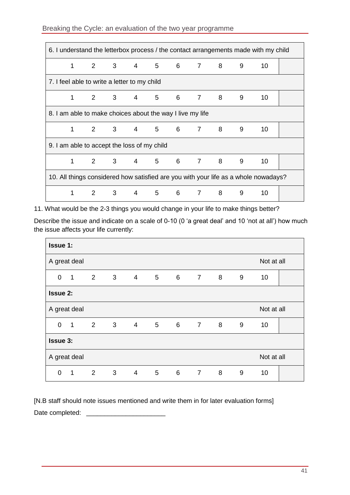#### Breaking the Cycle: an evaluation of the two year programme

| 6. I understand the letterbox process / the contact arrangements made with my child |                                                           |   |                            |                |       |   |                |          |     |    |  |
|-------------------------------------------------------------------------------------|-----------------------------------------------------------|---|----------------------------|----------------|-------|---|----------------|----------|-----|----|--|
|                                                                                     | 1                                                         |   | 2 3 4 5 6 7 8              |                |       |   |                |          | 9   | 10 |  |
| 7. I feel able to write a letter to my child                                        |                                                           |   |                            |                |       |   |                |          |     |    |  |
|                                                                                     | 1                                                         |   | 2 3 4 5 6 7 8              |                |       |   |                |          | - 9 | 10 |  |
|                                                                                     | 8. I am able to make choices about the way I live my life |   |                            |                |       |   |                |          |     |    |  |
|                                                                                     |                                                           |   | 2 3 4 5 6 7 8              |                |       |   |                |          | 9   | 10 |  |
| 9. I am able to accept the loss of my child                                         |                                                           |   |                            |                |       |   |                |          |     |    |  |
|                                                                                     | 1                                                         | 2 | $\overline{\phantom{a}}$ 3 |                | 4 5 6 |   |                | $7 \t 8$ | 9   | 10 |  |
| 10. All things considered how satisfied are you with your life as a whole nowadays? |                                                           |   |                            |                |       |   |                |          |     |    |  |
|                                                                                     |                                                           | 2 | 3                          | $\overline{4}$ | 5     | 6 | $\overline{7}$ | 8        | 9   | 10 |  |

11. What would be the 2-3 things you would change in your life to make things better?

Describe the issue and indicate on a scale of 0-10 (0 'a great deal' and 10 'not at all') how much the issue affects your life currently:

| <b>Issue 1:</b>            |                |                         |                            |                |                |                |     |   |   |    |  |
|----------------------------|----------------|-------------------------|----------------------------|----------------|----------------|----------------|-----|---|---|----|--|
| Not at all<br>A great deal |                |                         |                            |                |                |                |     |   |   |    |  |
| $\mathbf 0$                | $\overline{1}$ | $\overline{\mathbf{2}}$ | $\overline{\phantom{a}}$ 3 | $\overline{4}$ | $\overline{5}$ | 6 7 8          |     |   | 9 | 10 |  |
| <b>Issue 2:</b>            |                |                         |                            |                |                |                |     |   |   |    |  |
| Not at all<br>A great deal |                |                         |                            |                |                |                |     |   |   |    |  |
| 0                          | $\mathbf{1}$   | 2                       | 3                          | $\overline{4}$ | 5              | $\overline{6}$ | 7 8 |   | 9 | 10 |  |
| <b>Issue 3:</b>            |                |                         |                            |                |                |                |     |   |   |    |  |
| Not at all<br>A great deal |                |                         |                            |                |                |                |     |   |   |    |  |
| 0                          | $\mathbf{1}$   | $\overline{2}$          | 3                          | $\overline{4}$ | 5              | 6              | 7   | 8 | 9 | 10 |  |

[N.B staff should note issues mentioned and write them in for later evaluation forms] Date completed: \_\_\_\_\_\_\_\_\_\_\_\_\_\_\_\_\_\_\_\_\_\_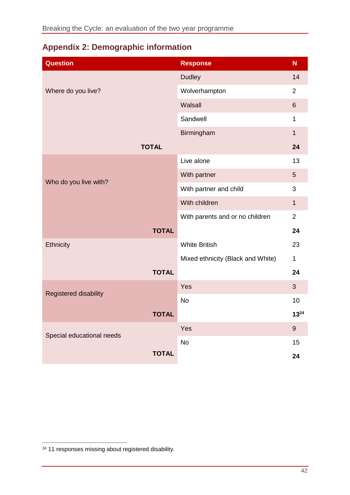# <span id="page-41-0"></span>**Appendix 2: Demographic information**

| <b>Question</b>           | <b>Response</b>                   | N              |
|---------------------------|-----------------------------------|----------------|
|                           | <b>Dudley</b>                     | 14             |
| Where do you live?        | Wolverhampton                     | $\overline{2}$ |
|                           | Walsall                           | $6\phantom{a}$ |
|                           | Sandwell                          | $\mathbf{1}$   |
|                           | Birmingham                        | $\mathbf{1}$   |
| <b>TOTAL</b>              |                                   | 24             |
|                           | Live alone                        | 13             |
| Who do you live with?     | With partner                      | 5              |
|                           | With partner and child            | 3              |
|                           | With children                     | $\mathbf{1}$   |
|                           | With parents and or no children   | $\overline{2}$ |
| <b>TOTAL</b>              |                                   | 24             |
| Ethnicity                 | <b>White British</b>              | 23             |
|                           | Mixed ethnicity (Black and White) | $\mathbf{1}$   |
| <b>TOTAL</b>              |                                   | 24             |
| Registered disability     | Yes                               | $\overline{3}$ |
|                           | <b>No</b>                         | 10             |
| <b>TOTAL</b>              |                                   | $13^{24}$      |
| Special educational needs | Yes                               | 9              |
|                           | <b>No</b>                         | 15             |
| <b>TOTAL</b>              |                                   | 24             |

 $\overline{a}$ 

<sup>&</sup>lt;sup>24</sup> 11 responses missing about registered disability.